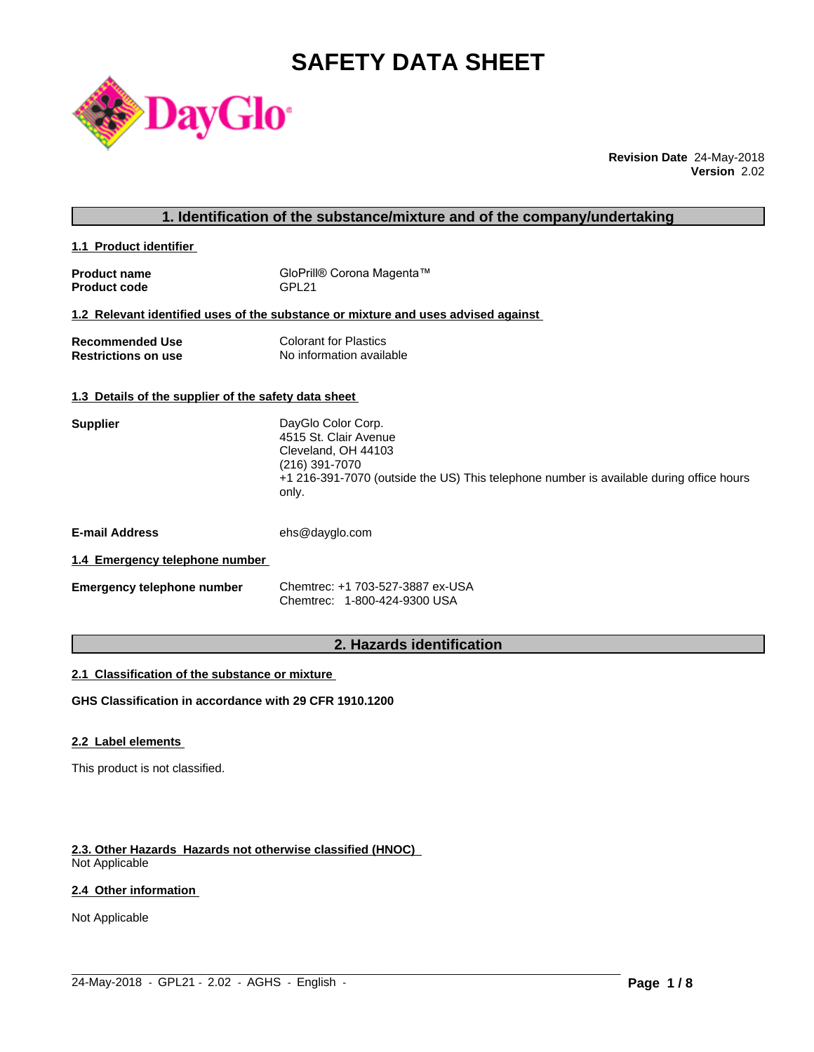# **SAFETY DATA SHEET**



**Revision Date** 24-May-2018 **Version** 2.02

# **1. Identification of the substance/mixture and of the company/undertaking**

**1.1 Product identifier** 

| <b>Product name</b> | GloPrill® Corona Magenta™ |
|---------------------|---------------------------|
| <b>Product code</b> | GPL <sub>21</sub>         |

# **1.2 Relevant identified uses of the substance or mixture and uses advised against**

| <b>Recommended Use</b>     | <b>Colorant for Plastics</b> |
|----------------------------|------------------------------|
| <b>Restrictions on use</b> | No information available     |

#### **1.3 Details of the supplier of the safety data sheet**

| <b>Supplier</b> | DayGlo Color Corp.                                                                      |
|-----------------|-----------------------------------------------------------------------------------------|
|                 | 4515 St. Clair Avenue                                                                   |
|                 | Cleveland, OH 44103                                                                     |
|                 | (216) 391-7070                                                                          |
|                 | +1 216-391-7070 (outside the US) This telephone number is available during office hours |
|                 | only.                                                                                   |

**E-mail Address** ehs@dayglo.com

# **1.4 Emergency telephone number**

| <b>Emergency telephone number</b> | Chemtrec: +1 703-527-3887 ex-USA |
|-----------------------------------|----------------------------------|
|                                   | Chemtrec: 1-800-424-9300 USA     |

# **2. Hazards identification**

 $\_$  ,  $\_$  ,  $\_$  ,  $\_$  ,  $\_$  ,  $\_$  ,  $\_$  ,  $\_$  ,  $\_$  ,  $\_$  ,  $\_$  ,  $\_$  ,  $\_$  ,  $\_$  ,  $\_$  ,  $\_$  ,  $\_$  ,  $\_$  ,  $\_$  ,  $\_$  ,  $\_$  ,  $\_$  ,  $\_$  ,  $\_$  ,  $\_$  ,  $\_$  ,  $\_$  ,  $\_$  ,  $\_$  ,  $\_$  ,  $\_$  ,  $\_$  ,  $\_$  ,  $\_$  ,  $\_$  ,  $\_$  ,  $\_$  ,

#### **2.1 Classification of the substance or mixture**

**GHS Classification in accordance with 29 CFR 1910.1200**

# **2.2 Label elements**

This product is not classified.

# **2.3. Other Hazards Hazards not otherwise classified (HNOC)**

Not Applicable

# **2.4 Other information**

Not Applicable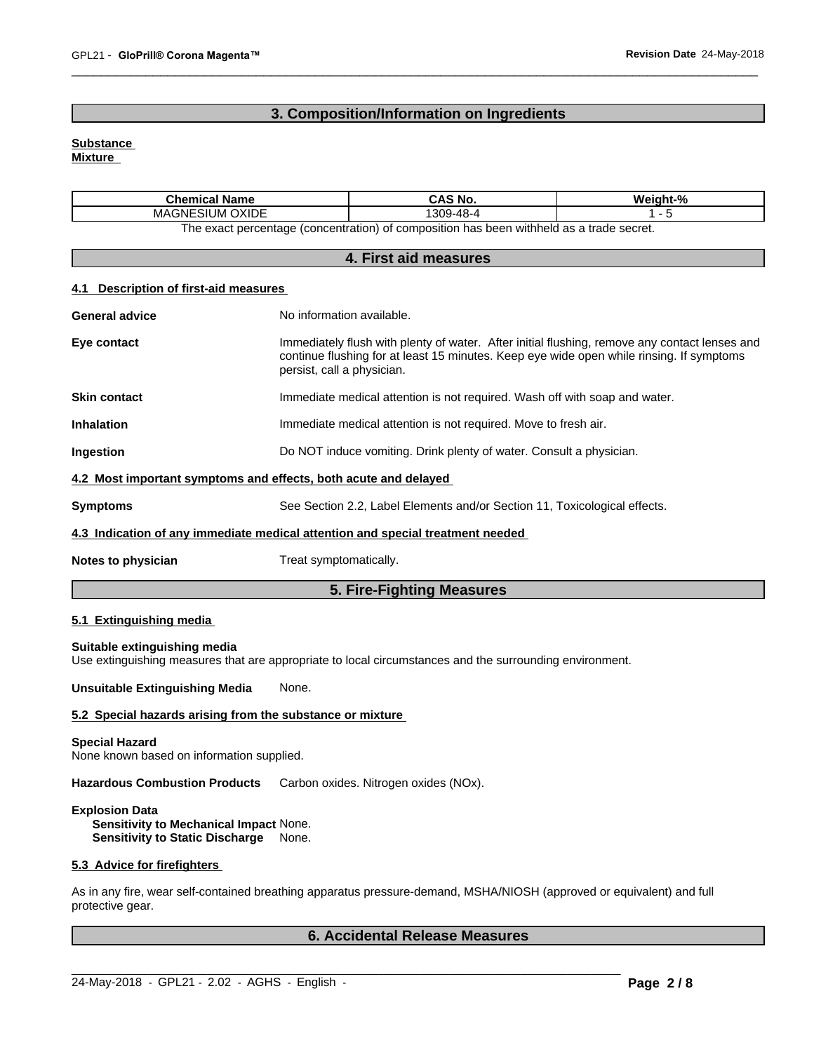# **3. Composition/Information on Ingredients**

# **Substance**

**Mixture**

| Chemical<br>I Name                                                                                                   | CAS No.               | Weight-% |
|----------------------------------------------------------------------------------------------------------------------|-----------------------|----------|
| <b>OXIDE</b><br>MAGNE<br>SП<br>.JM '                                                                                 | 309<br>- 48 - 4<br>70 |          |
| a withheld as a<br>has<br>t nercentage (concentration).<br>i trade secret<br>composition<br>: heen<br>he exact<br>∩t |                       |          |

The exact percentage (concentration) or composition has been withheld as a trade secret.

| 4. First aid measures                                                          |                                                                                                                                                                                                                         |  |
|--------------------------------------------------------------------------------|-------------------------------------------------------------------------------------------------------------------------------------------------------------------------------------------------------------------------|--|
| Description of first-aid measures                                              |                                                                                                                                                                                                                         |  |
| <b>General advice</b>                                                          | No information available.                                                                                                                                                                                               |  |
| Eye contact                                                                    | Immediately flush with plenty of water. After initial flushing, remove any contact lenses and<br>continue flushing for at least 15 minutes. Keep eye wide open while rinsing. If symptoms<br>persist, call a physician. |  |
| <b>Skin contact</b>                                                            | Immediate medical attention is not required. Wash off with soap and water.                                                                                                                                              |  |
| <b>Inhalation</b>                                                              | Immediate medical attention is not required. Move to fresh air.                                                                                                                                                         |  |
| Ingestion                                                                      | Do NOT induce vomiting. Drink plenty of water. Consult a physician.                                                                                                                                                     |  |
| 4.2 Most important symptoms and effects, both acute and delayed                |                                                                                                                                                                                                                         |  |
| <b>Symptoms</b>                                                                | See Section 2.2, Label Elements and/or Section 11, Toxicological effects.                                                                                                                                               |  |
| 4.3 Indication of any immediate medical attention and special treatment needed |                                                                                                                                                                                                                         |  |
| Notes to physician                                                             | Treat symptomatically.                                                                                                                                                                                                  |  |

**5. Fire-Fighting Measures**

# **5.1 Extinguishing media**

**Suitable extinguishing media** Use extinguishing measures that are appropriate to local circumstances and the surrounding environment.

**Unsuitable Extinguishing Media** None.

# **5.2 Special hazards arising from the substance or mixture**

#### **Special Hazard**

None known based on information supplied.

**Hazardous Combustion Products** Carbon oxides. Nitrogen oxides (NOx).

# **Explosion Data**

**Sensitivity to Mechanical Impact** None. **Sensitivity to Static Discharge** None.

# **5.3 Advice for firefighters**

As in any fire, wear self-contained breathing apparatus pressure-demand, MSHA/NIOSH (approved or equivalent) and full protective gear.

 $\_$  ,  $\_$  ,  $\_$  ,  $\_$  ,  $\_$  ,  $\_$  ,  $\_$  ,  $\_$  ,  $\_$  ,  $\_$  ,  $\_$  ,  $\_$  ,  $\_$  ,  $\_$  ,  $\_$  ,  $\_$  ,  $\_$  ,  $\_$  ,  $\_$  ,  $\_$  ,  $\_$  ,  $\_$  ,  $\_$  ,  $\_$  ,  $\_$  ,  $\_$  ,  $\_$  ,  $\_$  ,  $\_$  ,  $\_$  ,  $\_$  ,  $\_$  ,  $\_$  ,  $\_$  ,  $\_$  ,  $\_$  ,  $\_$  ,

# **6. Accidental Release Measures**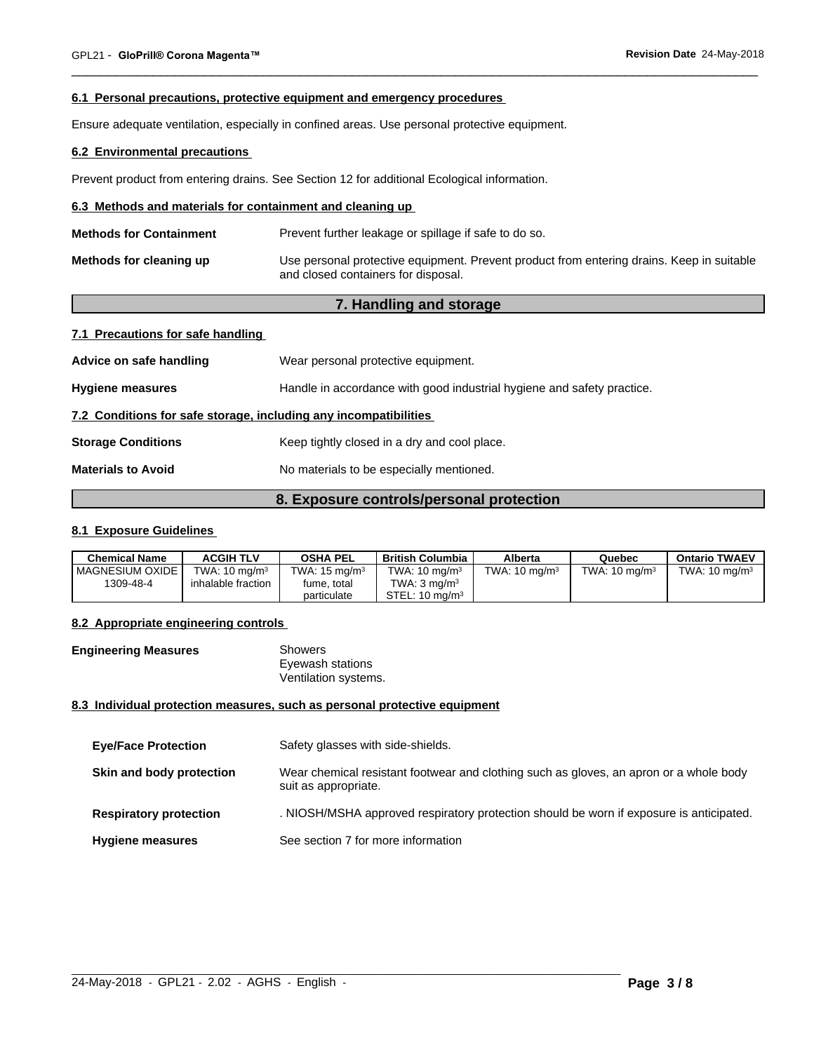#### **6.1 Personal precautions, protective equipment and emergency procedures**

Ensure adequate ventilation, especially in confined areas. Use personal protective equipment.

# **6.2 Environmental precautions**

Prevent product from entering drains. See Section 12 for additional Ecological information.

# **6.3 Methods and materials for containment and cleaning up**

| <b>Methods for Containment</b> | Prevent further leakage or spillage if safe to do so.                                                                            |
|--------------------------------|----------------------------------------------------------------------------------------------------------------------------------|
| Methods for cleaning up        | Use personal protective equipment. Prevent product from entering drains. Keep in suitable<br>and closed containers for disposal. |

# **7. Handling and storage**

| 7.1 Precautions for safe handling |
|-----------------------------------|
|-----------------------------------|

| Advice on safe handling                                          | Wear personal protective equipment.                                    |  |  |  |
|------------------------------------------------------------------|------------------------------------------------------------------------|--|--|--|
| <b>Hygiene measures</b>                                          | Handle in accordance with good industrial hygiene and safety practice. |  |  |  |
| 7.2 Conditions for safe storage, including any incompatibilities |                                                                        |  |  |  |
| <b>Storage Conditions</b>                                        | Keep tightly closed in a dry and cool place.                           |  |  |  |
| <b>Materials to Avoid</b>                                        | No materials to be especially mentioned.                               |  |  |  |
|                                                                  |                                                                        |  |  |  |

# **8. Exposure controls/personal protection**

# **8.1 Exposure Guidelines**

| <b>Chemical Name</b> | <b>ACGIH TLV</b>         | <b>OSHA PEL</b>          | British Columbia          | Alberta                  | Quebec                   | <b>Ontario TWAEV</b>     |
|----------------------|--------------------------|--------------------------|---------------------------|--------------------------|--------------------------|--------------------------|
| I MAGNESIUM OXIDE    | TWA: $10 \text{ ma/m}^3$ | TWA: $15 \text{ ma/m}^3$ | TWA: $10 \text{ ma/m}^3$  | TWA: $10 \text{ ma/m}^3$ | TWA: $10 \text{ ma/m}^3$ | TWA: $10 \text{ ma/m}^3$ |
| 1309-48-4            | inhalable fraction       | fume, total              | TWA: 3 ma/m <sup>3</sup>  |                          |                          |                          |
|                      |                          | particulate              | STEL: $10 \text{ ma/m}^3$ |                          |                          |                          |

# **8.2 Appropriate engineering controls**

| <b>Engineering Measures</b> | <b>Showers</b>       |  |
|-----------------------------|----------------------|--|
|                             | Eyewash stations     |  |
|                             | Ventilation systems. |  |

#### **8.3 Individual protection measures, such as personal protective equipment**

| <b>Eye/Face Protection</b>    | Safety glasses with side-shields.                                                                              |
|-------------------------------|----------------------------------------------------------------------------------------------------------------|
| Skin and body protection      | Wear chemical resistant footwear and clothing such as gloves, an apron or a whole body<br>suit as appropriate. |
| <b>Respiratory protection</b> | . NIOSH/MSHA approved respiratory protection should be worn if exposure is anticipated.                        |
| <b>Hygiene measures</b>       | See section 7 for more information                                                                             |

 $\_$  ,  $\_$  ,  $\_$  ,  $\_$  ,  $\_$  ,  $\_$  ,  $\_$  ,  $\_$  ,  $\_$  ,  $\_$  ,  $\_$  ,  $\_$  ,  $\_$  ,  $\_$  ,  $\_$  ,  $\_$  ,  $\_$  ,  $\_$  ,  $\_$  ,  $\_$  ,  $\_$  ,  $\_$  ,  $\_$  ,  $\_$  ,  $\_$  ,  $\_$  ,  $\_$  ,  $\_$  ,  $\_$  ,  $\_$  ,  $\_$  ,  $\_$  ,  $\_$  ,  $\_$  ,  $\_$  ,  $\_$  ,  $\_$  ,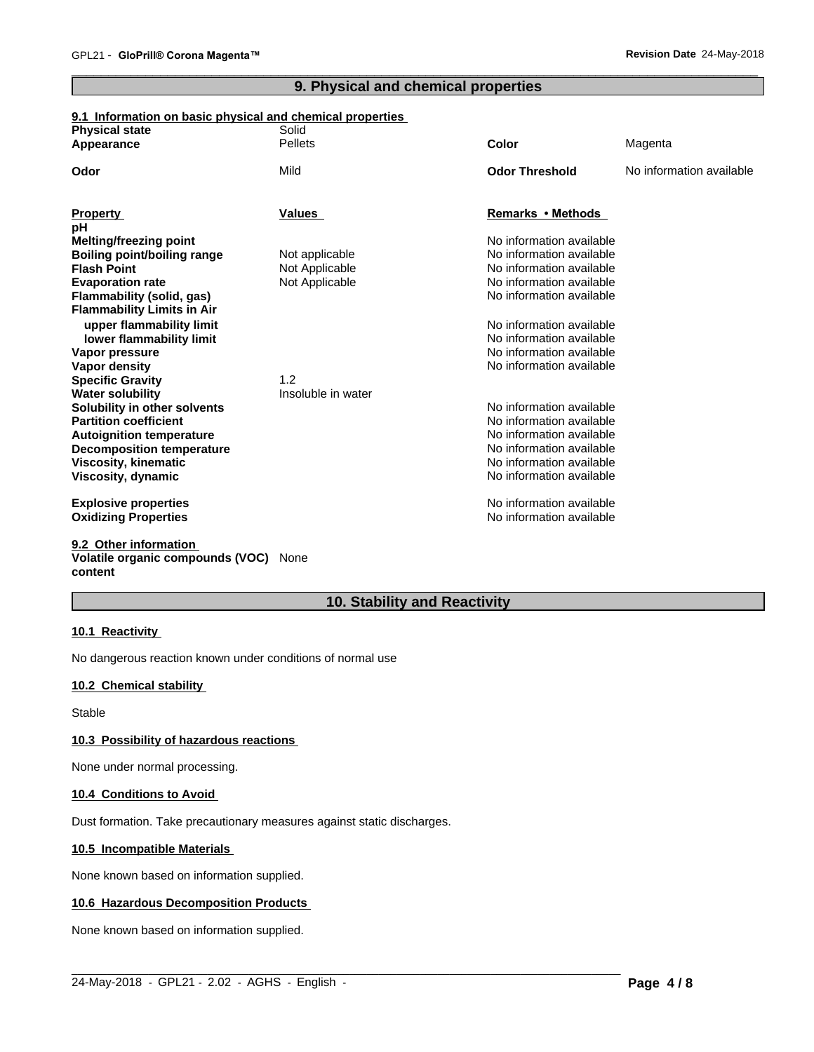# **9. Physical and chemical properties**

# **9.1 Information on basic physical and chemical properties**

| <b>Physical state</b>              | Solid              |                                                      |                          |
|------------------------------------|--------------------|------------------------------------------------------|--------------------------|
| Appearance                         | <b>Pellets</b>     | <b>Color</b>                                         | Magenta                  |
| Odor                               | Mild               | <b>Odor Threshold</b>                                | No information available |
| <b>Property</b>                    | <b>Values</b>      | Remarks • Methods                                    |                          |
| рH                                 |                    |                                                      |                          |
| Melting/freezing point             |                    | No information available                             |                          |
| <b>Boiling point/boiling range</b> | Not applicable     | No information available                             |                          |
| <b>Flash Point</b>                 | Not Applicable     | No information available                             |                          |
| <b>Evaporation rate</b>            | Not Applicable     | No information available                             |                          |
| Flammability (solid, gas)          |                    | No information available                             |                          |
| <b>Flammability Limits in Air</b>  |                    |                                                      |                          |
| upper flammability limit           |                    | No information available                             |                          |
| lower flammability limit           |                    | No information available                             |                          |
| Vapor pressure                     |                    | No information available                             |                          |
| Vapor density                      |                    | No information available                             |                          |
| <b>Specific Gravity</b>            | 1.2                |                                                      |                          |
| <b>Water solubility</b>            | Insoluble in water |                                                      |                          |
| Solubility in other solvents       |                    | No information available                             |                          |
| <b>Partition coefficient</b>       |                    | No information available                             |                          |
| <b>Autoignition temperature</b>    |                    | No information available                             |                          |
| <b>Decomposition temperature</b>   |                    | No information available                             |                          |
| <b>Viscosity, kinematic</b>        |                    | No information available<br>No information available |                          |
| Viscosity, dynamic                 |                    |                                                      |                          |
| <b>Explosive properties</b>        |                    | No information available                             |                          |
| <b>Oxidizing Properties</b>        |                    | No information available                             |                          |
| 9.2 Other information              |                    |                                                      |                          |

# **Volatile organic compounds (VOC)** None **content**

# **10. Stability and Reactivity**

 $\_$  ,  $\_$  ,  $\_$  ,  $\_$  ,  $\_$  ,  $\_$  ,  $\_$  ,  $\_$  ,  $\_$  ,  $\_$  ,  $\_$  ,  $\_$  ,  $\_$  ,  $\_$  ,  $\_$  ,  $\_$  ,  $\_$  ,  $\_$  ,  $\_$  ,  $\_$  ,  $\_$  ,  $\_$  ,  $\_$  ,  $\_$  ,  $\_$  ,  $\_$  ,  $\_$  ,  $\_$  ,  $\_$  ,  $\_$  ,  $\_$  ,  $\_$  ,  $\_$  ,  $\_$  ,  $\_$  ,  $\_$  ,  $\_$  ,

# **10.1 Reactivity**

No dangerous reaction known under conditions of normal use

# **10.2 Chemical stability**

Stable

# **10.3 Possibility of hazardous reactions**

None under normal processing.

# **10.4 Conditions to Avoid**

Dust formation. Take precautionary measures against static discharges.

# **10.5 Incompatible Materials**

None known based on information supplied.

# **10.6 Hazardous Decomposition Products**

None known based on information supplied.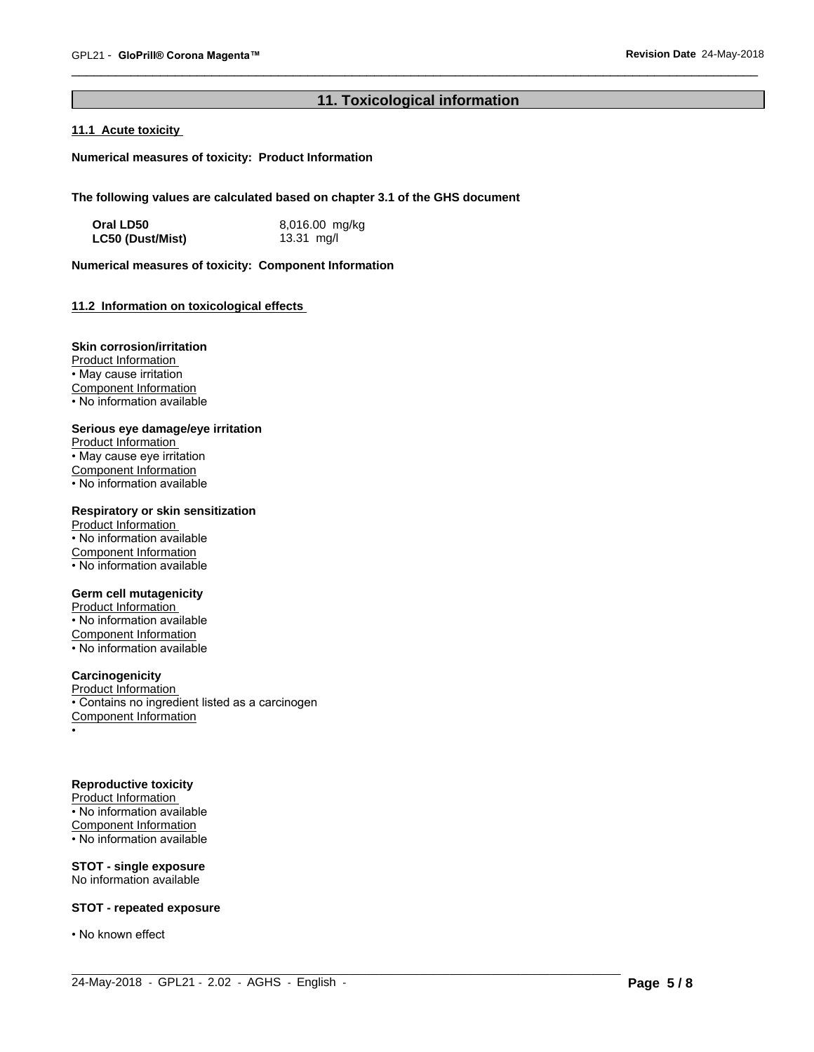# **11. Toxicological information**

 $\_$  ,  $\_$  ,  $\_$  ,  $\_$  ,  $\_$  ,  $\_$  ,  $\_$  ,  $\_$  ,  $\_$  ,  $\_$  ,  $\_$  ,  $\_$  ,  $\_$  ,  $\_$  ,  $\_$  ,  $\_$  ,  $\_$  ,  $\_$  ,  $\_$  ,  $\_$  ,  $\_$  ,  $\_$  ,  $\_$  ,  $\_$  ,  $\_$  ,  $\_$  ,  $\_$  ,  $\_$  ,  $\_$  ,  $\_$  ,  $\_$  ,  $\_$  ,  $\_$  ,  $\_$  ,  $\_$  ,  $\_$  ,  $\_$  ,

# **11.1 Acute toxicity**

**Numerical measures of toxicity: Product Information**

**The following values are calculated based on chapter 3.1 of the GHS document**

| Oral LD50        | 8,016.00 mg/kg |
|------------------|----------------|
| LC50 (Dust/Mist) | 13.31 $mg/l$   |

**Numerical measures of toxicity: Component Information**

# **11.2 Information on toxicologicaleffects**

#### **Skin corrosion/irritation**

Product Information • May cause irritation Component Information • No information available

#### **Serious eye damage/eye irritation**

Product Information • May cause eye irritation Component Information • No information available

# **Respiratory or skin sensitization**

Product Information • No information available Component Information  $\overline{\cdot}$  No information available

# **Germ cell mutagenicity**

Product Information • No information available Component Information • No information available

# **Carcinogenicity**

Product Information • Contains no ingredient listed as a carcinogen Component Information •

#### **Reproductive toxicity**

Product Information • No information available Component Information • No information available

#### **STOT - single exposure** No information available

# **STOT - repeated exposure**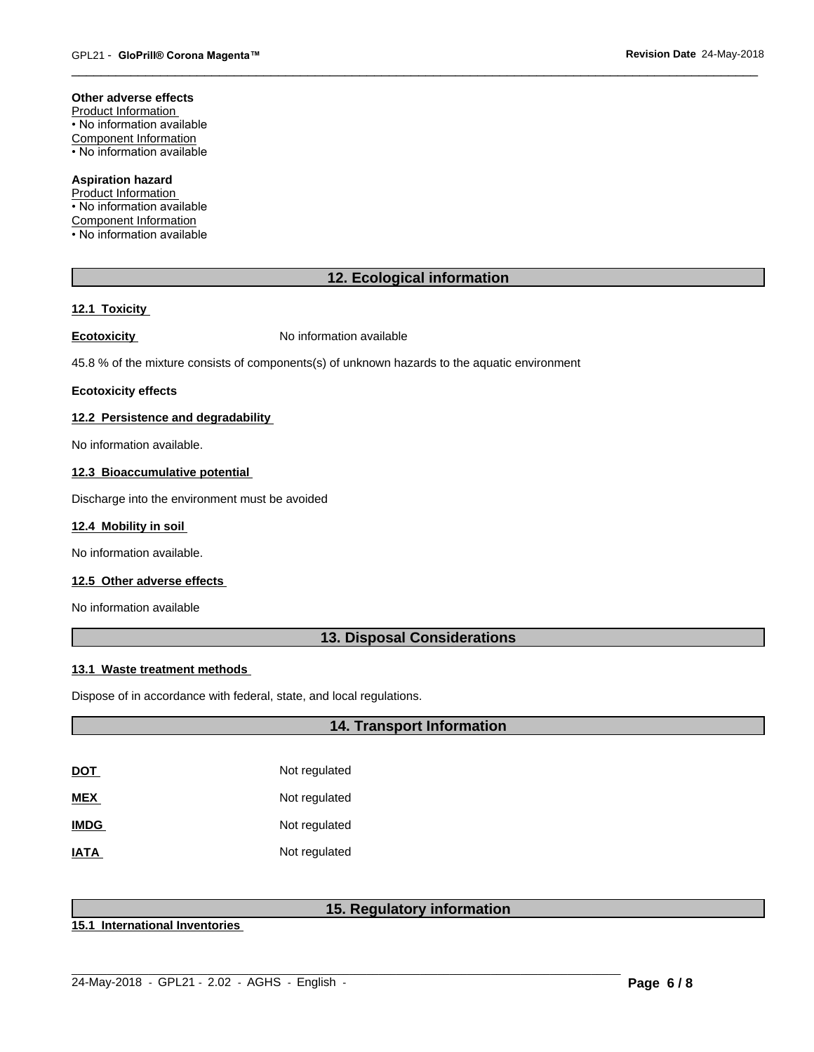#### **Other adverse effects**

Product Information • No information available Component Information • No information available

# **Aspiration hazard**

Product Information • No information available Component Information • No information available

# **12. Ecological information**

# **12.1 Toxicity**

**Ecotoxicity No information available** 

45.8 % of the mixture consists of components(s) of unknown hazards to the aquatic environment

#### **Ecotoxicity effects**

# **12.2 Persistence and degradability**

No information available.

#### **12.3 Bioaccumulative potential**

Discharge into the environment must be avoided

# **12.4 Mobility in soil**

No information available.

# **12.5 Other adverse effects**

No information available

# **13. Disposal Considerations**

# **13.1 Waste treatment methods**

Dispose of in accordance with federal, state, and local regulations.

# **14. Transport Information**

| <u>DOT</u>  | Not regulated |
|-------------|---------------|
| MEX         | Not regulated |
| <b>IMDG</b> | Not regulated |
| <b>ATAI</b> | Not regulated |

# **15. Regulatory information**

**15.1 International Inventories**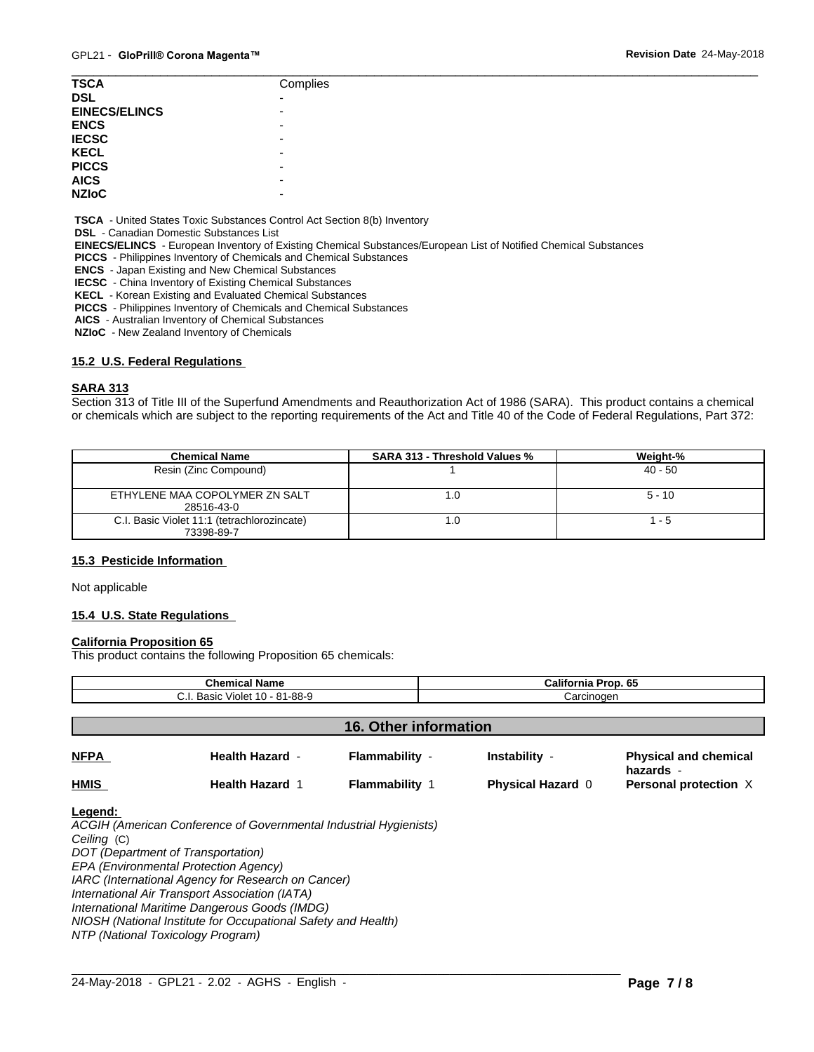| <b>TSCA</b>          | Complies                 |
|----------------------|--------------------------|
| <b>DSL</b>           | $\overline{\phantom{0}}$ |
| <b>EINECS/ELINCS</b> | $\overline{\phantom{0}}$ |
| <b>ENCS</b>          | -                        |
| <b>IECSC</b>         | -                        |
| <b>KECL</b>          | -                        |
| <b>PICCS</b>         | -                        |
| <b>AICS</b>          | -                        |
| <b>NZIOC</b>         | -                        |
|                      |                          |

 **TSCA** - United States Toxic Substances Control Act Section 8(b) Inventory

 **DSL** - Canadian Domestic Substances List

 **EINECS/ELINCS** - European Inventory of Existing Chemical Substances/European List of Notified Chemical Substances

 **PICCS** - Philippines Inventory of Chemicals and Chemical Substances

 **ENCS** - Japan Existing and New Chemical Substances

 **IECSC** - China Inventory of Existing Chemical Substances

 **KECL** - Korean Existing and Evaluated Chemical Substances

 **PICCS** - Philippines Inventory of Chemicals and Chemical Substances

 **AICS** - Australian Inventory of Chemical Substances

 **NZIoC** - New Zealand Inventory of Chemicals

#### **15.2 U.S. Federal Regulations**

#### **SARA 313**

Section 313 of Title III of the Superfund Amendments and Reauthorization Act of 1986 (SARA). This product contains a chemical or chemicals which are subject to the reporting requirements of the Act and Title 40 of the Code of Federal Regulations, Part 372:

| <b>Chemical Name</b>                        | <b>SARA 313 - Threshold Values %</b> | Weight-%  |
|---------------------------------------------|--------------------------------------|-----------|
| Resin (Zinc Compound)                       |                                      | $40 - 50$ |
|                                             |                                      |           |
| ETHYLENE MAA COPOLYMER ZN SALT              | .0                                   | $5 - 10$  |
| 28516-43-0                                  |                                      |           |
| C.I. Basic Violet 11:1 (tetrachlorozincate) | .0                                   | - 5       |
| 73398-89-7                                  |                                      |           |

#### **15.3 Pesticide Information**

Not applicable

#### **15.4 U.S. State Regulations**

#### **California Proposition 65**

This product contains the following Proposition 65 chemicals:

| C.I. Basic Violet 10 - 81-88-9<br>Carcinogen<br><b>16. Other information</b>                                          |  |
|-----------------------------------------------------------------------------------------------------------------------|--|
|                                                                                                                       |  |
|                                                                                                                       |  |
|                                                                                                                       |  |
| <b>NFPA</b><br>Flammability -<br><b>Health Hazard -</b><br>Instability -<br><b>Physical and chemical</b><br>hazards - |  |
| <b>HMIS</b><br><b>Flammability 1</b><br><b>Health Hazard 1</b><br><b>Physical Hazard 0</b><br>Personal protection X   |  |

 $\_$  ,  $\_$  ,  $\_$  ,  $\_$  ,  $\_$  ,  $\_$  ,  $\_$  ,  $\_$  ,  $\_$  ,  $\_$  ,  $\_$  ,  $\_$  ,  $\_$  ,  $\_$  ,  $\_$  ,  $\_$  ,  $\_$  ,  $\_$  ,  $\_$  ,  $\_$  ,  $\_$  ,  $\_$  ,  $\_$  ,  $\_$  ,  $\_$  ,  $\_$  ,  $\_$  ,  $\_$  ,  $\_$  ,  $\_$  ,  $\_$  ,  $\_$  ,  $\_$  ,  $\_$  ,  $\_$  ,  $\_$  ,  $\_$  ,

*DOT (Department of Transportation) EPA (Environmental Protection Agency) IARC (International Agency for Research on Cancer) International Air Transport Association (IATA) International Maritime Dangerous Goods (IMDG) NIOSH (National Institute for Occupational Safety and Health)*

*NTP (National Toxicology Program)*